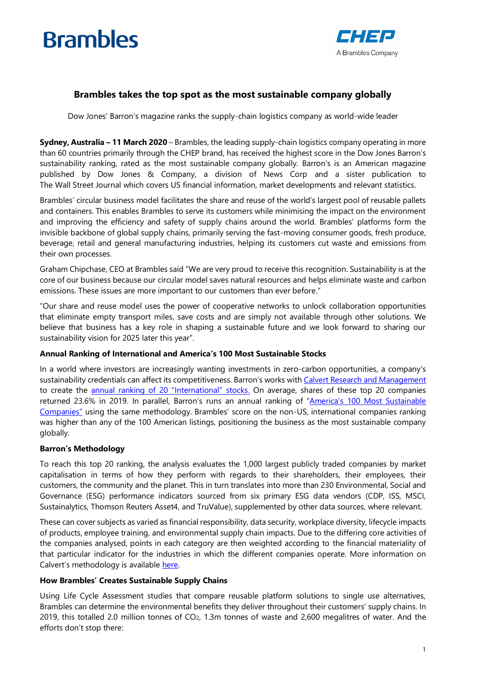# **Brambles**



## **Brambles takes the top spot as the most sustainable company globally**

Dow Jones' Barron's magazine ranks the supply-chain logistics company as world-wide leader

**Sydney, Australia – 11 March 2020** – Brambles, the leading supply-chain logistics company operating in more than 60 countries primarily through the CHEP brand, has received the highest score in the Dow Jones Barron's sustainability ranking, rated as the most sustainable company globally. Barron's is an American magazine published by Dow Jones & Company, a division of News Corp and a sister publication to The Wall Street Journal which covers US financial information, market developments and relevant statistics.

Brambles' circular business model facilitates the share and reuse of the world's largest pool of reusable pallets and containers. This enables Brambles to serve its customers while minimising the impact on the environment and improving the efficiency and safety of supply chains around the world. Brambles' platforms form the invisible backbone of global supply chains, primarily serving the fast-moving consumer goods, fresh produce, beverage, retail and general manufacturing industries, helping its customers cut waste and emissions from their own processes.

Graham Chipchase, CEO at Brambles said "We are very proud to receive this recognition. Sustainability is at the core of our business because our circular model saves natural resources and helps eliminate waste and carbon emissions. These issues are more important to our customers than ever before."

"Our share and reuse model uses the power of cooperative networks to unlock collaboration opportunities that eliminate empty transport miles, save costs and are simply not available through other solutions. We believe that business has a key role in shaping a sustainable future and we look forward to sharing our sustainability vision for 2025 later this year".

### **Annual Ranking of International and America's 100 Most Sustainable Stocks**

In a world where investors are increasingly wanting investments in zero-carbon opportunities, a company's sustainability credentials can affect its competitiveness. Barron's works with [Calvert Research and Management](https://www.calvert.com/Affirmation.php?asp_referer=https%3A%2F%2Fwww.calvert.com%2F) to create the [annual ranking of 20 "](https://www.barrons.com/articles/australias-brambles-irelands-accenture-lead-on-sustainability-abroad-51581683400)International" stocks. On average, shares of these top 20 companies returned 23.6% in 2019. In parallel, Barron's runs an annual ranking of "America's 100 Most Sustainable [Companies](https://www.agilent.com/about/newsroom/articles/barrons-100-most-sustainable-companies-2020.pdf)" using the same methodology. Brambles' score on the non-US, international companies ranking was higher than any of the 100 American listings, positioning the business as the most sustainable company globally.

### **Barron's Methodology**

To reach this top 20 ranking, the analysis evaluates the 1,000 largest publicly traded companies by market capitalisation in terms of how they perform with regards to their shareholders, their employees, their customers, the community and the planet. This in turn translates into more than 230 Environmental, Social and Governance (ESG) performance indicators sourced from six primary ESG data vendors (CDP, ISS, MSCI, Sustainalytics, Thomson Reuters Asset4, and TruValue), supplemented by other data sources, where relevant.

These can cover subjects as varied as financial responsibility, data security, workplace diversity, lifecycle impacts of products, employee training, and environmental supply chain impacts. Due to the differing core activities of the companies analysed, points in each category are then weighted according to the financial materiality of that particular indicator for the industries in which the different companies operate. More information on Calvert's methodology is available [here.](https://www.calvert.com/100-most-sustainable-companies-list.php#Methodology)

### **How Brambles' Creates Sustainable Supply Chains**

Using Life Cycle Assessment studies that compare reusable platform solutions to single use alternatives, Brambles can determine the environmental benefits they deliver throughout their customers' supply chains. In 2019, this totalled 2.0 million tonnes of CO2, 1.3m tonnes of waste and 2,600 megalitres of water. And the efforts don't stop there: